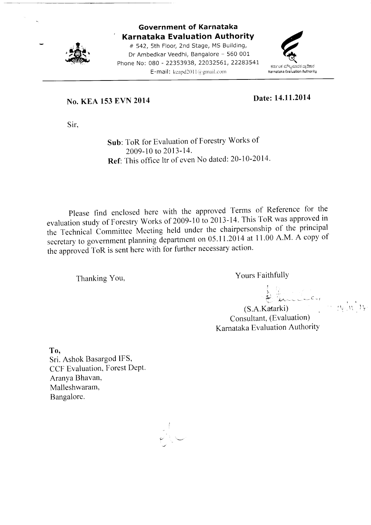

### Government of Karnataka Karnataka Evaluation AuthoritY

# 542, 5th Floor, 2nd Stage, MS Building, Dr Ambedkar Veedhi, Bangalore - 560 001 Phone No: 080 - 22353938, 22032561, 22283541 E-mail: keapd2011 $\bar{a}$  gmail.com



### No. KEA 153 EVN 2014

Date: 14.11.2014

Sir,

Sub: ToR for Evaluation of Forestry Works of 2009-10 to 2013-14. Ref: This office ltr of even No dated: 20-10-2014.

Please find enclosed here with the approved Terms of Reference for the evaluation study of Forestry works of 2009-10 to 2013-14. This ToR was approved in the Technical Committee Meeting held under the chairpersonship of the principal<br> $\frac{11.2014 \text{ at } 11.00 \text{ A M}}{4.600 \text{ N}}$ secretary to government planning department on 05.11.2014 at 11.00 A.M. A copy of the approved ToR is sent here with for further necessary action.

Thanking You, Thanking You,

J !

, iv  $\mathcal{W}^{\mathcal{A}}$ 

(S.A.Katarki) Consultant, (Evaluation) Karnataka Evaluation Authority

To,

Sri. Ashok Basargod IFS, CCF Evaluation, Forest Dept. Aranya Bhavan, Malleshwaram, Bangalore.

 $\checkmark$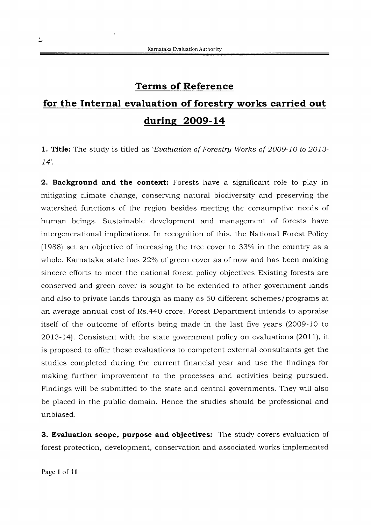### Terms of Reference

# for the Internal evaluation of forestry works carried out during 2009-14

1. Title: The study is titled as 'Evaluation of Forestry Works of 2009-10 to 2013- $14'.$ 

2. Background and the context: Forests have a significant role to play in mitigating climate change, conserving natural biodiversity and preserving the watershed functions of the region besides meeting the consumptive needs of human beings. Sustainable development and management of forests have intergenerational implications. In recognition of this, the National Forest Policy  $(1988)$  set an objective of increasing the tree cover to 33% in the country as a whole. Karnataka state has 22% of green cover as of now and has been making sincere efforts to meet the national forest policy objectives Existing forests are conserved and green cover is sought to be extended to other government lands and also to private lands through as many as 50 different schemes/programs at an average annual cost of Rs.44O crore. Forest Department intends to appraise itself of the outcome of efforts being made in the last five years (2OO9-10 to 2073-14). Consistent with the state government policy on evaluations (2011), it is proposed to offer these evaluations to competent external consultants get the studies completed during the current financial year and use the findings for making further improvement to the processes and activities being pursued. Findings will be submitted to the state and central governments. They will also be placed in the public domain. Hence the studies should be professional and unbiased.

3. Evaluation scope, purpose and objectives: The study covers evaluation of forest protection, development, conservation and associated works implemented

Page 1 of 11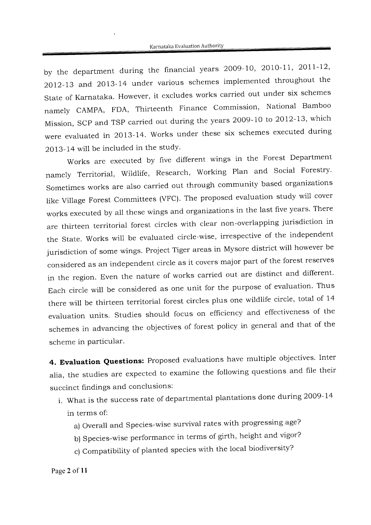by the department during the financial years 2009-10, 2010-11, 2011-12, 2Ot2-73 and 2ol3-14 under various schemes implemented throughout the State of Karnataka. However, it excludes works carried out under six schemes namely CAMPA, FDA, Thirteenth Finance Commission, National Bamboo Mission, SCP and TSP carried out during the years 2009-10 to 2012-13, which were evaluated in 2013-14. Works under these six schemes executed during 2OI3-14 will be included in the study'

works are executed by five different wings in the Forest Department namely Territorial, Wildlife, Research, Working Plan and Social Forestry. Sometimes works are also carried out through community based organizations iike village Forest committees (vFC). The proposed evaluation study will cover works executed by all these wings and organizations in the last five years. There are thirteen territorial forest circles with clear non-overlapping jurisdiction in the State. works will be evaluated circie-wise, irrespective of the independent jurisdiction of some wings. Project Tiger areas in Mysore district will however be considered as an independent circle as it covers major part of the forest reserves in the region. Even the nature of works carried out are distinct and different. Each circle will be considered as one unit for the purpose of evaluation. Thus there will be thirteen territorial forest circles plus one wildlife circle, total of 14 evaluation units. Studies should focus on efficiency and effectiveness of the schemes in advancing the objectives of forest policy in general and that of the scheme in particular.

4. Evaluation Questions: Proposed evaluations have multiple objectives. Inter alia, the studies are expected to examine the following questions and file their succinct findings and conclusions:

- i. what is the success rate of departmental plantations done during 2oo9-I4 in terms of:
	- a) Overall and Species-wise survival rates with progressing age?
	- b) Species-wise performance in terms of girth, height and vigor?
	- c) Compatibility of planted species with the local biodiversity?

Page 2 of 11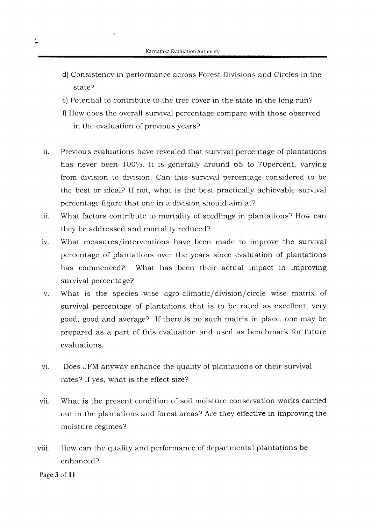- d) Consistency in performance across Forest Divisions and Circles in the state?
- e) Potential to contribute to the tree cover in the state in the long run?
- f) How does the overall survival percentage compare with those observed in the evaluation of previous years?
- Previous evaluations have revealed that survival percentage of plantations has never been IOO%. It is generally around 65 to TOpercent, varying from division to division. Can this survival percentage considered to be the best or ideal? If not, what is the best practically achievable survival percentage figure that one in a division should aim at? ii.
- What factors contribute to mortality of seedlings in plantations? How can they be addressed and mortality reduced? iii.
- lV. What measures/interventions have been made to improve the survival percentage of plantations over the years since evaluation of plantations has commenced? What has been their actual impact in improving survival percentage?
- What is the species wise agro-climatic/division/circle wise matrix of  $V<sub>1</sub>$ survival percentage of plantations that is to be rated as excellent, very good, good and average? If there is no such matrix in place, one may be prepared as a part of this evaluation and used as benchmark for future evaluations.
- Does JFM anyway enhance the quality of plantations or their survival rates? If ves. what is the effect size?  $\overline{\mathbf{v}}$ i
- What is the present condition of soil moisture conservation works carried out in the plantations and forest areas? Are they effective in improving the moisture regimes? vii.
- viii. How can the quality and performance of departmental plantations be enhanced?

Page 3 of 11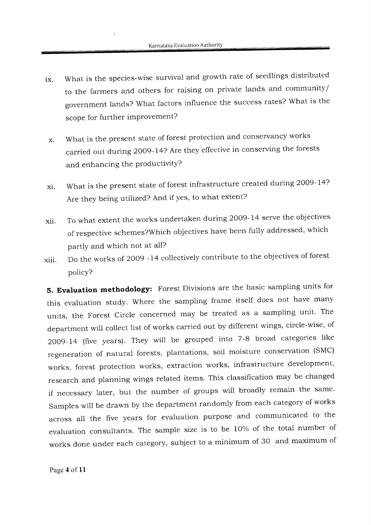- lX. what is the species-wise survival and growth rate of seedlings distributed to the farmers and others for raising on private lands and community/ government lands? What factors influence the success rates? What is the scope for further improvement?
- What is the present state of forest protection and conservancy works X. carried out during 2009-14? Are they effective in conserving the forests and enhancing the productivity?
- xl. What is the present state of forest infrastructure created during 2009-14? Are they being utilized? And if Yes, to what extent?
- xii. To what extent the works undertaken during 2009-14 serve the objectives of respective schemes?which objectives have been fully addressed, which partly and which not at all?
- xiii. Do the works of 2oo9 - 14 collectively contribute to the objectives of forest policy?

5. Evaluation methodology: Forest Divisions are the basic sampling units for this evaluation study. Where the sampling frame itself does not have many units, the Forest Circle concerned may be treated as a sampling unit. The department will collect list of works carried out by different wings, circie-wise, of 2OO}-I4 (five years). They will be grouped into 7-8 broad categories like regeneration of natural forests, plantations, soil moisture conservation (SMC) works, forest protection works, extraction works, infrastructure development, research and planning wings related items. This classification may be changed if necessary later, but the number of groups will broadly remain the same. Samples will be drawn by the department randomly from each category of works across all the five years for evaluation purpose and communicated to the evaiuation consultants. The sample size is to be 10% of the total number of works done under each category, subject to a minimum of 30 and maximum of

Page 4 of 11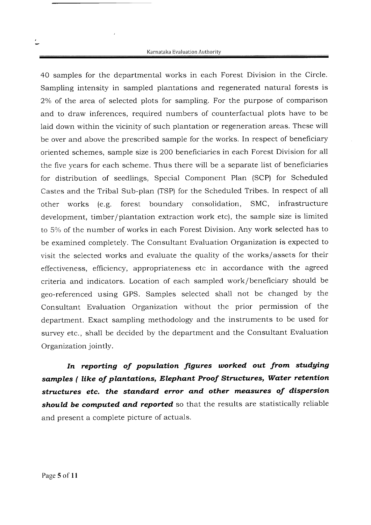40 samples for the departmental works in each Forest Division in the Circle. Sampling intensity in sampled plantations and regenerated natural forests is 2% of the area of selected plots for sampling. For the purpose of comparison and to draw inferences, required numbers of counterfactual plots have to be laid down within the vicinity of such plantation or regeneration areas. These will be over and above the prescribed sample for the works. In respect of beneficiary oriented schemes, sample size is 200 beneficiaries in each Forest Division for all the five years for each scheme. Thus there will be a separate list of beneficiaries for distribution of seedlings, Special Component Plan (SCP) for Scheduled Castes and the Tribal Sub-plan (TSP) for the Scheduled Tribes. In respect of all other works (e.g. forest boundary consolidation, SMC, infrastructure development, timber/plantation extraction work etc), the sample size is limited to 5% of the number of works in each Forest Division. Any work selected has to be examined completely. The Consultant Evaluation Organization is expected to visit the selected works and evaluate the quality of the works/assets for their effectiveness, efficiency, appropriateness etc in accordance with the agreed criteria and indicators. Location of each sampled work/beneficiary should be geo-referenced using GPS. Samples selected shall not be changed by the Consultant Evaluation Organization without the prior permission of the department. Exact sampling methodology and the instruments to be used for survey etc., shall be decided by the department and the Consultant Evaluation Organization jointly.

In reporting of population figures worked out from studying samples ( like of plantations, Elephant Proof Structures, Water retention structures etc. the standard error and other measures of dispersion should be computed and reported so that the results are statistically reliable and present a complete picture of actuals.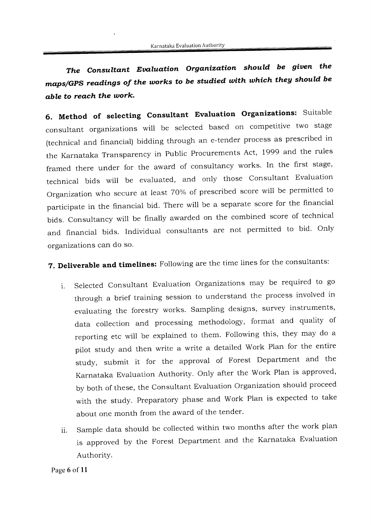The Consultant Evaluation Organization should be given the maps/GPS readings of the works to be studied with which they should be able to reach the work.

6. Method of selecting Consultant Evaluation Organizations: Suitable consultant organizations will be selected based on competitive two stage (technical and financial) bidding through an e-tender process as prescribed in the Karnataka Transparency in Public Procurements Act, 1999 and the rules framed there under for the award of consultancy works. In the first stage, technical bids will be evaluated, and only those consultant Evaluation Organization who secure at least 70% of prescribed score will be permitted to participate in the financial bid. There will be a separate score for the financial bids. consultancy will be finally awarded on the combined score of technical and financial bids. Individual consultants are not permitted to bid. Only organizations can do so.

7. Deliverable and timelines: Following are the time lines for the consultants:

- i. Selected Consultant Evaluation Organizations may be required to go through a brief training session to understand the process involved in evaluating the forestry works. Sampling designs, survey instruments, data collection and processing methodology, format and quality of reporting etc will be explained to them. Following this, they may do a pilot study and then write a write a detailed work Plan for the entire study, submit it for the approval of Forest Department and the Karnataka Evaluation Authority. Only after the Work Plan is approved, by both of these, the Consultant Evaluation Organization should proceed with the study. Preparatory phase and work Pian is expected to take about one month from the award of the tender.
- ii. Sample data should be collected within two months after the work plan is approved by the Forest Department and the Karnataka Evaluation AuthoritY.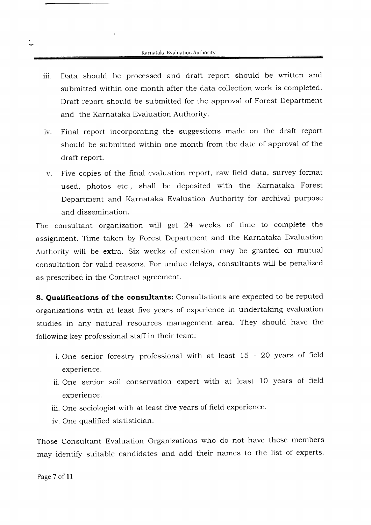- Data should be processed and draft report should be written and submitted within one month after the data collection work is completed. Draft report should be submitted for the approval of Forest Department and the Karnataka Evaluation Authority. iii.
- iv. Final report incorporating the suggestions made on the draft report should be submitted within one month from the date of approval of the draft report.
- v. Five copies of the final evaluation report, raw field data, survey format used, photos etc., shall be deposited with the Karnataka Forest Department and Karnataka Evaluation Authority for archivai purpose and dissemination.

The consultant organization will get 24 weeks of time to complete the assignment. Time taken by Forest Department and the Karnataka Evaluation Authority will be extra. Six weeks of extension may be granted on mutual consultation for valid reasons. For undue delays, consultants will be penalized as prescribed in the Contract agreement.

8. Qualifications of the consultants: Consultations are expected to be reputed organizations with at least five years of experience in undertaking evaluation studies in any natural resources management area. They should have the following key professional staff in their team:

- i. One senior forestry professional with at least 15 20 years of field experience.
- ii. One senior soil conservation expert with at least 10 years of field experience.
- iii. One sociologist with at least five years of field experience.
- iv. One qualified statistician.

Those Consultant Evaluation Organizations who do not have these members may identify suitable candidates and add their names to the list of experts.

Page 7 of 11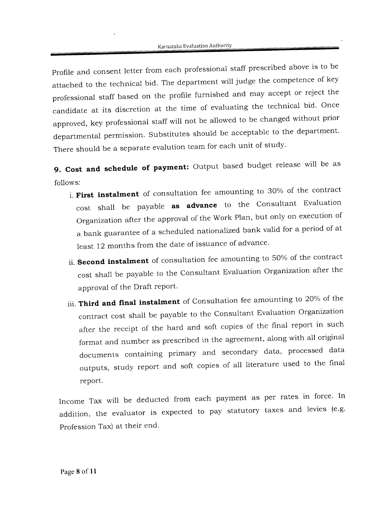profile and consent letter from each professional staff prescribed above is to be attached to the technical bid. The department will judge the competence of key professional staff based on the profile furnished and may accept or reject the candidate at its discretion at the time of evaluating the technical bid. Once approved, key professional staff will not be allowed to be changed without prior departmental permission. Substitutes should be acceptable to the department. There should be a separate evalution team for each unit of study.

9. Cost and schedule of payment: Output based budget release will be as follows:

- i. First instalment of consultation fee amounting to 30% of the contract cost shall be payable as advance to the consultant Evaluation Organization after the approval of the Work Plan, but only on execution of a bank guarantee of a scheduled nationalized bank valid for a period of at least 12 months from the date of issuance of advance.
- ii. Second instalment of consultation fee amounting to 50% of the contract cost shall be payable to the Consultant Evaluation Organization after the approval of the Draft report.
- iii. Third and final instalment of Consultation fee amounting to 20% of the contract cost shali be payable to the Consultant Evaluation Organtzation after the receipt of the hard and soft copies of the final report in such format and number as prescribed in the agreement, along with all original documents containing primary and secondary data, processed data outpurs, study report and soft copies of all literature used to the final report.

Income Tax will be deducted from each payment as per rates in force. In addition, the evaluator is expected to pay statutory taxes and levies (e.g. Profession Tax) at their end.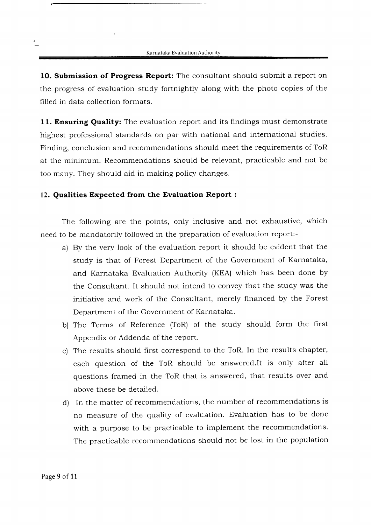10. Submission of Progress Report: The consultant should submit a report on the progress of evaluation study fortnightly along with the photo copies of the filled in data collection formats.

11. Ensuring Quality: The evaluation report and its findings must demonstrate highest professional standards on par with national and international studies. Finding, conclusion and recommendations should meet the requirements of ToR at the minimum. Recommendations should be relevant, practicable and not be too many. They should aid in making policy changes.

#### 12. Qualities Expected from the Evaluation Report :

The following are the points, only inclusive and not exhaustive, which need to be mandatorily followed in the preparation of evaluation report:-

- a) By the very look of the evaluation report it should be evident that the study is that of Forest Department of the Government of Karnataka, and Karnataka Evaluation Authority (KEA) which has been done by the Consultant. It should not intend to convey that the study was the initiative and work of the Consultant, merely financed by the Forest Department of the Government of Karnataka.
- b) The Terms of Reference (ToR) of the study should form the first Appendix or Addenda of the report.
- c) The results should first correspond to the ToR. In the results chapter, each question of the ToR should be answered.lt is only after all questions framed in the ToR that is answered, that results over and above these be detailed.
- d) In the matter of recommendations, the number of recommendations is no measure of the quality of evaluation. Evaluation has to be done with a purpose to be practicable to implement the recommendations. The practicable recommendations should not be lost in the population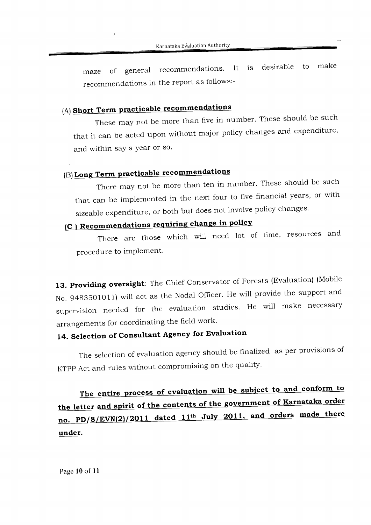maze of general recommendations. It is desirable to make recommendations in the report as follows:-

### (A) Short Term practicable recommendations

These may not be more than five in number. These should be such that it can be acted upon without major policy changes and expenditure, and within say a year or so.

### (B) Long Term practicable recommendations

There may not be more than ten in number. These should be such that can be implemented in the next four to five financial years, or with sizeable expenditure, or both but does not involve policy changes.

# (C) Recommendations requiring change in policy

There are those which will need lot of time, resources and procedure to implement.

13. Providing oversight: The Chief Conservator of Forests (Evaluation) (Mobile No. g483501011) will act as the Nodal officer. He will provide the support and supervision needed for the evaluation studies. He will make necessary arrangements for coordinating the field work'

# 14. Selection of Consultant Agency for Evaluation

The selection of evaluation agency should be finalized as per provisions of KTPP Act and rules without compromising on the quality.

The entire process of evaluation will be subject to and conform to the letter and spirit of the contents of the government of Karnataka order no. PD/8/EVN(2)/2011 dated 11<sup>th</sup> July 2011, and orders made there under.

Page l0 of 1l